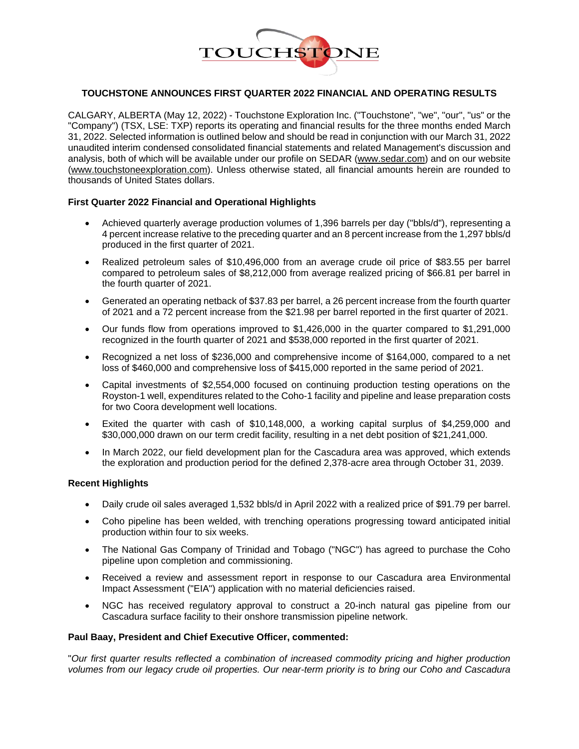

## **TOUCHSTONE ANNOUNCES FIRST QUARTER 2022 FINANCIAL AND OPERATING RESULTS**

CALGARY, ALBERTA (May 12, 2022) - Touchstone Exploration Inc. ("Touchstone", "we", "our", "us" or the "Company") (TSX, LSE: TXP) reports its operating and financial results for the three months ended March 31, 2022. Selected information is outlined below and should be read in conjunction with our March 31, 2022 unaudited interim condensed consolidated financial statements and related Management's discussion and analysis, both of which will be available under our profile on SEDAR [\(www.sedar.com\)](http://www.sedar.com/) and on our website [\(www.touchstoneexploration.com\)](http://www.touchstoneexploration.com/). Unless otherwise stated, all financial amounts herein are rounded to thousands of United States dollars.

#### **First Quarter 2022 Financial and Operational Highlights**

- Achieved quarterly average production volumes of 1,396 barrels per day ("bbls/d"), representing a 4 percent increase relative to the preceding quarter and an 8 percent increase from the 1,297 bbls/d produced in the first quarter of 2021.
- Realized petroleum sales of \$10,496,000 from an average crude oil price of \$83.55 per barrel compared to petroleum sales of \$8,212,000 from average realized pricing of \$66.81 per barrel in the fourth quarter of 2021.
- Generated an operating netback of \$37.83 per barrel, a 26 percent increase from the fourth quarter of 2021 and a 72 percent increase from the \$21.98 per barrel reported in the first quarter of 2021.
- Our funds flow from operations improved to \$1,426,000 in the quarter compared to \$1,291,000 recognized in the fourth quarter of 2021 and \$538,000 reported in the first quarter of 2021.
- Recognized a net loss of \$236,000 and comprehensive income of \$164,000, compared to a net loss of \$460,000 and comprehensive loss of \$415,000 reported in the same period of 2021.
- Capital investments of \$2,554,000 focused on continuing production testing operations on the Royston-1 well, expenditures related to the Coho-1 facility and pipeline and lease preparation costs for two Coora development well locations.
- Exited the quarter with cash of \$10,148,000, a working capital surplus of \$4,259,000 and \$30,000,000 drawn on our term credit facility, resulting in a net debt position of \$21,241,000.
- In March 2022, our field development plan for the Cascadura area was approved, which extends the exploration and production period for the defined 2,378-acre area through October 31, 2039.

# **Recent Highlights**

- Daily crude oil sales averaged 1,532 bbls/d in April 2022 with a realized price of \$91.79 per barrel.
- Coho pipeline has been welded, with trenching operations progressing toward anticipated initial production within four to six weeks.
- The National Gas Company of Trinidad and Tobago ("NGC") has agreed to purchase the Coho pipeline upon completion and commissioning.
- Received a review and assessment report in response to our Cascadura area Environmental Impact Assessment ("EIA") application with no material deficiencies raised.
- NGC has received regulatory approval to construct a 20-inch natural gas pipeline from our Cascadura surface facility to their onshore transmission pipeline network.

#### **Paul Baay, President and Chief Executive Officer, commented:**

"*Our first quarter results reflected a combination of increased commodity pricing and higher production volumes from our legacy crude oil properties. Our near-term priority is to bring our Coho and Cascadura*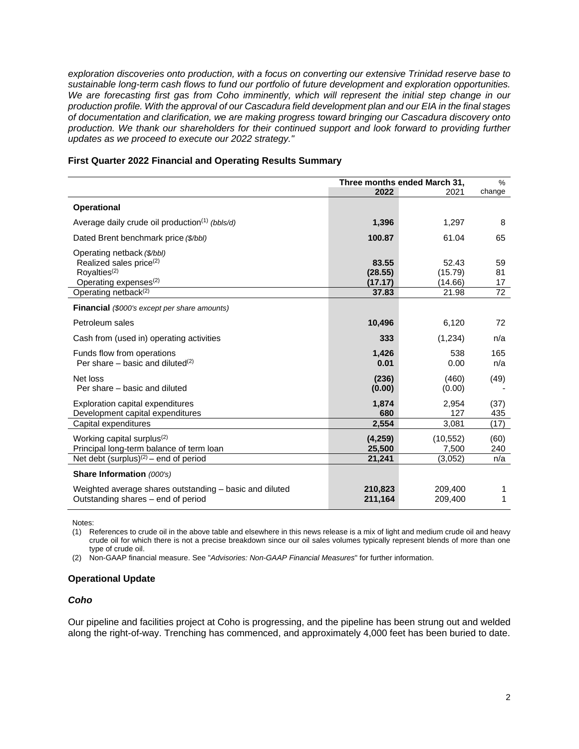*exploration discoveries onto production, with a focus on converting our extensive Trinidad reserve base to sustainable long-term cash flows to fund our portfolio of future development and exploration opportunities.* We are forecasting first gas from Coho imminently, which will represent the initial step change in our *production profile. With the approval of our Cascadura field development plan and our EIA in the final stages of documentation and clarification, we are making progress toward bringing our Cascadura discovery onto production. We thank our shareholders for their continued support and look forward to providing further updates as we proceed to execute our 2022 strategy."*

#### **First Quarter 2022 Financial and Operating Results Summary**

|                                                                                                                                                                        | Three months ended March 31,         |                                      | $\%$                 |
|------------------------------------------------------------------------------------------------------------------------------------------------------------------------|--------------------------------------|--------------------------------------|----------------------|
|                                                                                                                                                                        | 2022                                 | 2021                                 | change               |
| <b>Operational</b>                                                                                                                                                     |                                      |                                      |                      |
| Average daily crude oil production <sup>(1)</sup> (bbls/d)                                                                                                             | 1,396                                | 1,297                                | 8                    |
| Dated Brent benchmark price (\$/bbl)                                                                                                                                   | 100.87                               | 61.04                                | 65                   |
| Operating netback (\$/bbl)<br>Realized sales price <sup>(2)</sup><br>Royalties <sup>(2)</sup><br>Operating expenses <sup>(2)</sup><br>Operating netback <sup>(2)</sup> | 83.55<br>(28.55)<br>(17.17)<br>37.83 | 52.43<br>(15.79)<br>(14.66)<br>21.98 | 59<br>81<br>17<br>72 |
| <b>Financial</b> (\$000's except per share amounts)                                                                                                                    |                                      |                                      |                      |
| Petroleum sales                                                                                                                                                        | 10,496                               | 6,120                                | 72                   |
| Cash from (used in) operating activities                                                                                                                               | 333                                  | (1,234)                              | n/a                  |
| Funds flow from operations<br>Per share – basic and diluted $(2)$                                                                                                      | 1,426<br>0.01                        | 538<br>0.00                          | 165<br>n/a           |
| Net loss<br>Per share – basic and diluted                                                                                                                              | (236)<br>(0.00)                      | (460)<br>(0.00)                      | (49)                 |
| Exploration capital expenditures<br>Development capital expenditures                                                                                                   | 1,874<br>680                         | 2,954<br>127                         | (37)<br>435          |
| Capital expenditures                                                                                                                                                   | 2,554                                | 3,081                                | (17)                 |
| Working capital surplus <sup>(2)</sup><br>Principal long-term balance of term loan                                                                                     | (4, 259)<br>25,500                   | (10, 552)<br>7,500                   | (60)<br>240          |
| Net debt $(surplus)^{(2)}$ – end of period                                                                                                                             | 21,241                               | (3,052)                              | n/a                  |
| Share Information (000's)                                                                                                                                              |                                      |                                      |                      |
| Weighted average shares outstanding – basic and diluted<br>Outstanding shares – end of period                                                                          | 210,823<br>211,164                   | 209,400<br>209,400                   | 1<br>1               |

Notes:

(1) References to crude oil in the above table and elsewhere in this news release is a mix of light and medium crude oil and heavy crude oil for which there is not a precise breakdown since our oil sales volumes typically represent blends of more than one type of crude oil.

(2) Non-GAAP financial measure. See "*Advisories: Non-GAAP Financial Measures*" for further information.

## **Operational Update**

#### *Coho*

Our pipeline and facilities project at Coho is progressing, and the pipeline has been strung out and welded along the right-of-way. Trenching has commenced, and approximately 4,000 feet has been buried to date.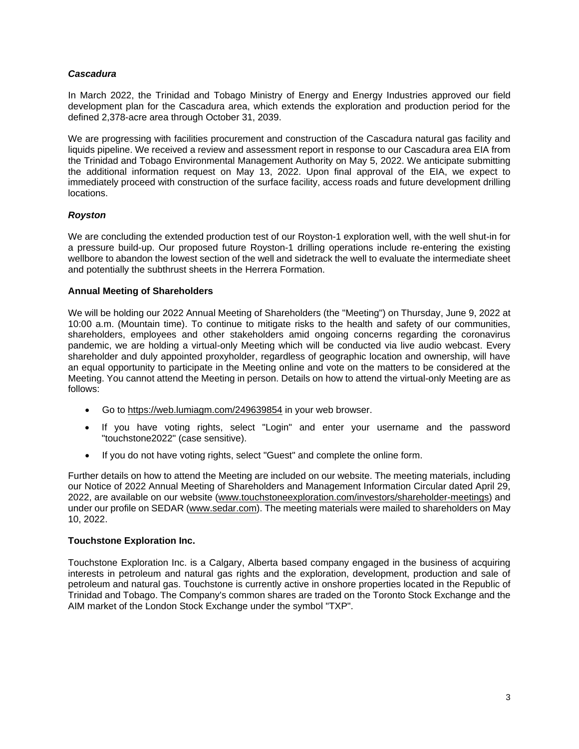# *Cascadura*

In March 2022, the Trinidad and Tobago Ministry of Energy and Energy Industries approved our field development plan for the Cascadura area, which extends the exploration and production period for the defined 2,378-acre area through October 31, 2039.

We are progressing with facilities procurement and construction of the Cascadura natural gas facility and liquids pipeline. We received a review and assessment report in response to our Cascadura area EIA from the Trinidad and Tobago Environmental Management Authority on May 5, 2022. We anticipate submitting the additional information request on May 13, 2022. Upon final approval of the EIA, we expect to immediately proceed with construction of the surface facility, access roads and future development drilling locations.

# *Royston*

We are concluding the extended production test of our Royston-1 exploration well, with the well shut-in for a pressure build-up. Our proposed future Royston-1 drilling operations include re-entering the existing wellbore to abandon the lowest section of the well and sidetrack the well to evaluate the intermediate sheet and potentially the subthrust sheets in the Herrera Formation.

# **Annual Meeting of Shareholders**

We will be holding our 2022 Annual Meeting of Shareholders (the "Meeting") on Thursday, June 9, 2022 at 10:00 a.m. (Mountain time). To continue to mitigate risks to the health and safety of our communities, shareholders, employees and other stakeholders amid ongoing concerns regarding the coronavirus pandemic, we are holding a virtual-only Meeting which will be conducted via live audio webcast. Every shareholder and duly appointed proxyholder, regardless of geographic location and ownership, will have an equal opportunity to participate in the Meeting online and vote on the matters to be considered at the Meeting. You cannot attend the Meeting in person. Details on how to attend the virtual-only Meeting are as follows:

- Go to <https://web.lumiagm.com/249639854> in your web browser.
- If you have voting rights, select "Login" and enter your username and the password "touchstone2022" (case sensitive).
- If you do not have voting rights, select "Guest" and complete the online form.

Further details on how to attend the Meeting are included on our website. The meeting materials, including our Notice of 2022 Annual Meeting of Shareholders and Management Information Circular dated April 29, 2022, are available on our website [\(www.touchstoneexploration.com/investors/shareholder-meetings\)](http://www.touchstoneexploration.com/investors/shareholder-meetings) and under our profile on SEDAR [\(www.sedar.com\)](http://www.sedar.com/). The meeting materials were mailed to shareholders on May 10, 2022.

## **Touchstone Exploration Inc.**

Touchstone Exploration Inc. is a Calgary, Alberta based company engaged in the business of acquiring interests in petroleum and natural gas rights and the exploration, development, production and sale of petroleum and natural gas. Touchstone is currently active in onshore properties located in the Republic of Trinidad and Tobago. The Company's common shares are traded on the Toronto Stock Exchange and the AIM market of the London Stock Exchange under the symbol "TXP".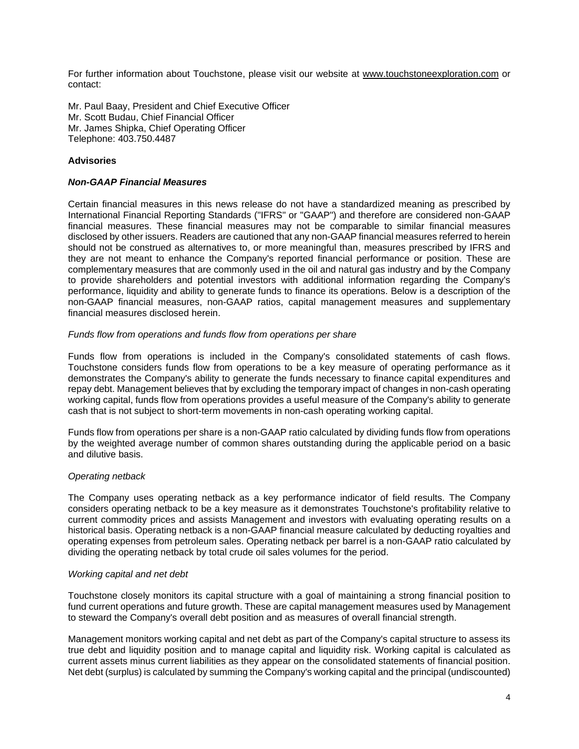For further information about Touchstone, please visit our website at [www.touchstoneexploration.com](http://www.touchstoneexploration.com/) or contact:

Mr. Paul Baay, President and Chief Executive Officer Mr. Scott Budau, Chief Financial Officer Mr. James Shipka, Chief Operating Officer Telephone: 403.750.4487

# **Advisories**

## *Non-GAAP Financial Measures*

Certain financial measures in this news release do not have a standardized meaning as prescribed by International Financial Reporting Standards ("IFRS" or "GAAP") and therefore are considered non-GAAP financial measures. These financial measures may not be comparable to similar financial measures disclosed by other issuers. Readers are cautioned that any non-GAAP financial measures referred to herein should not be construed as alternatives to, or more meaningful than, measures prescribed by IFRS and they are not meant to enhance the Company's reported financial performance or position. These are complementary measures that are commonly used in the oil and natural gas industry and by the Company to provide shareholders and potential investors with additional information regarding the Company's performance, liquidity and ability to generate funds to finance its operations. Below is a description of the non-GAAP financial measures, non-GAAP ratios, capital management measures and supplementary financial measures disclosed herein.

## *Funds flow from operations and funds flow from operations per share*

Funds flow from operations is included in the Company's consolidated statements of cash flows. Touchstone considers funds flow from operations to be a key measure of operating performance as it demonstrates the Company's ability to generate the funds necessary to finance capital expenditures and repay debt. Management believes that by excluding the temporary impact of changes in non-cash operating working capital, funds flow from operations provides a useful measure of the Company's ability to generate cash that is not subject to short-term movements in non-cash operating working capital.

Funds flow from operations per share is a non-GAAP ratio calculated by dividing funds flow from operations by the weighted average number of common shares outstanding during the applicable period on a basic and dilutive basis.

## *Operating netback*

The Company uses operating netback as a key performance indicator of field results. The Company considers operating netback to be a key measure as it demonstrates Touchstone's profitability relative to current commodity prices and assists Management and investors with evaluating operating results on a historical basis. Operating netback is a non-GAAP financial measure calculated by deducting royalties and operating expenses from petroleum sales. Operating netback per barrel is a non-GAAP ratio calculated by dividing the operating netback by total crude oil sales volumes for the period.

#### *Working capital and net debt*

Touchstone closely monitors its capital structure with a goal of maintaining a strong financial position to fund current operations and future growth. These are capital management measures used by Management to steward the Company's overall debt position and as measures of overall financial strength.

Management monitors working capital and net debt as part of the Company's capital structure to assess its true debt and liquidity position and to manage capital and liquidity risk. Working capital is calculated as current assets minus current liabilities as they appear on the consolidated statements of financial position. Net debt (surplus) is calculated by summing the Company's working capital and the principal (undiscounted)